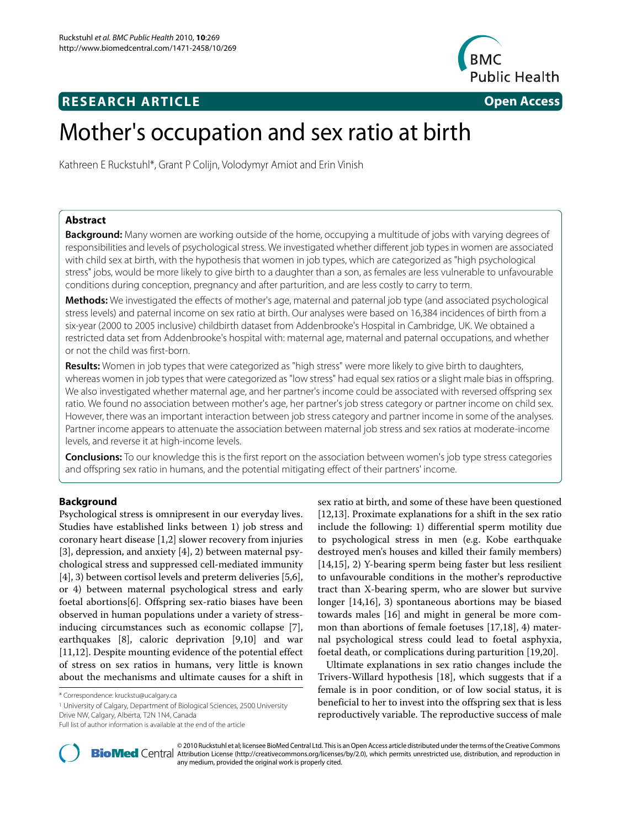## **RESEARCH ARTICLE Open Access**



# Mother's occupation and sex ratio at birth

Kathreen E Ruckstuhl\*, Grant P Colijn, Volodymyr Amiot and Erin Vinish

## **Abstract**

**Background:** Many women are working outside of the home, occupying a multitude of jobs with varying degrees of responsibilities and levels of psychological stress. We investigated whether different job types in women are associated with child sex at birth, with the hypothesis that women in job types, which are categorized as "high psychological stress" jobs, would be more likely to give birth to a daughter than a son, as females are less vulnerable to unfavourable conditions during conception, pregnancy and after parturition, and are less costly to carry to term.

**Methods:** We investigated the effects of mother's age, maternal and paternal job type (and associated psychological stress levels) and paternal income on sex ratio at birth. Our analyses were based on 16,384 incidences of birth from a six-year (2000 to 2005 inclusive) childbirth dataset from Addenbrooke's Hospital in Cambridge, UK. We obtained a restricted data set from Addenbrooke's hospital with: maternal age, maternal and paternal occupations, and whether or not the child was first-born.

**Results:** Women in job types that were categorized as "high stress" were more likely to give birth to daughters, whereas women in job types that were categorized as "low stress" had equal sex ratios or a slight male bias in offspring. We also investigated whether maternal age, and her partner's income could be associated with reversed offspring sex ratio. We found no association between mother's age, her partner's job stress category or partner income on child sex. However, there was an important interaction between job stress category and partner income in some of the analyses. Partner income appears to attenuate the association between maternal job stress and sex ratios at moderate-income levels, and reverse it at high-income levels.

**Conclusions:** To our knowledge this is the first report on the association between women's job type stress categories and offspring sex ratio in humans, and the potential mitigating effect of their partners' income.

#### **Background**

Psychological stress is omnipresent in our everyday lives. Studies have established links between 1) job stress and coronary heart disease [[1](#page-9-0)[,2](#page-9-1)] slower recovery from injuries [[3\]](#page-9-2), depression, and anxiety [\[4](#page-9-3)], 2) between maternal psychological stress and suppressed cell-mediated immunity [[4\]](#page-9-3), 3) between cortisol levels and preterm deliveries [\[5](#page-9-4)[,6](#page-9-5)], or 4) between maternal psychological stress and early foetal abortions[\[6](#page-9-5)]. Offspring sex-ratio biases have been observed in human populations under a variety of stressinducing circumstances such as economic collapse [\[7](#page-9-6)], earthquakes [[8\]](#page-10-0), caloric deprivation [[9,](#page-10-1)[10\]](#page-10-2) and war [[11,](#page-10-3)[12\]](#page-10-4). Despite mounting evidence of the potential effect of stress on sex ratios in humans, very little is known about the mechanisms and ultimate causes for a shift in

1 University of Calgary, Department of Biological Sciences, 2500 University Drive NW, Calgary, Alberta, T2N 1N4, Canada

sex ratio at birth, and some of these have been questioned [[12,](#page-10-4)[13\]](#page-10-5). Proximate explanations for a shift in the sex ratio include the following: 1) differential sperm motility due to psychological stress in men (e.g. Kobe earthquake destroyed men's houses and killed their family members) [[14,](#page-10-6)[15\]](#page-10-7), 2) Y-bearing sperm being faster but less resilient to unfavourable conditions in the mother's reproductive tract than X-bearing sperm, who are slower but survive longer [[14](#page-10-6),[16\]](#page-10-8), 3) spontaneous abortions may be biased towards males [\[16](#page-10-8)] and might in general be more common than abortions of female foetuses [[17,](#page-10-9)[18\]](#page-10-10), 4) maternal psychological stress could lead to foetal asphyxia, foetal death, or complications during parturition [\[19](#page-10-11)[,20](#page-10-12)].

Ultimate explanations in sex ratio changes include the Trivers-Willard hypothesis [[18](#page-10-10)], which suggests that if a female is in poor condition, or of low social status, it is beneficial to her to invest into the offspring sex that is less reproductively variable. The reproductive success of male



2010 Ruckstuhl et al; licensee [BioMed](http://www.biomedcentral.com/) Central Ltd. This is an Open Access article distributed under the terms of the Creative Commons (http://creativecommons.org/licenses/by/2.0), which permits unrestricted use, distributi any medium, provided the original work is properly cited.

<sup>\*</sup> Correspondence: kruckstu@ucalgary.ca

Full list of author information is available at the end of the article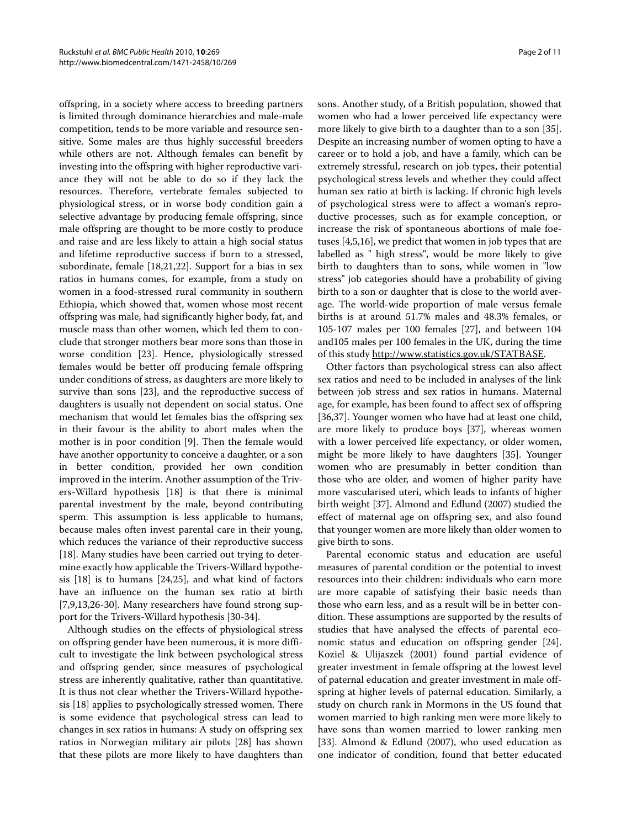offspring, in a society where access to breeding partners is limited through dominance hierarchies and male-male competition, tends to be more variable and resource sensitive. Some males are thus highly successful breeders while others are not. Although females can benefit by investing into the offspring with higher reproductive variance they will not be able to do so if they lack the resources. Therefore, vertebrate females subjected to physiological stress, or in worse body condition gain a selective advantage by producing female offspring, since male offspring are thought to be more costly to produce and raise and are less likely to attain a high social status and lifetime reproductive success if born to a stressed, subordinate, female [\[18](#page-10-10)[,21](#page-10-13),[22](#page-10-14)]. Support for a bias in sex ratios in humans comes, for example, from a study on women in a food-stressed rural community in southern Ethiopia, which showed that, women whose most recent offspring was male, had significantly higher body, fat, and muscle mass than other women, which led them to conclude that stronger mothers bear more sons than those in worse condition [\[23](#page-10-15)]. Hence, physiologically stressed females would be better off producing female offspring under conditions of stress, as daughters are more likely to survive than sons [[23](#page-10-15)], and the reproductive success of daughters is usually not dependent on social status. One mechanism that would let females bias the offspring sex in their favour is the ability to abort males when the mother is in poor condition [[9\]](#page-10-1). Then the female would have another opportunity to conceive a daughter, or a son in better condition, provided her own condition improved in the interim. Another assumption of the Trivers-Willard hypothesis [\[18](#page-10-10)] is that there is minimal parental investment by the male, beyond contributing sperm. This assumption is less applicable to humans, because males often invest parental care in their young, which reduces the variance of their reproductive success [[18\]](#page-10-10). Many studies have been carried out trying to determine exactly how applicable the Trivers-Willard hypothesis [\[18](#page-10-10)] is to humans [[24,](#page-10-16)[25\]](#page-10-17), and what kind of factors have an influence on the human sex ratio at birth [[7,](#page-9-6)[9](#page-10-1)[,13](#page-10-5)[,26](#page-10-18)-[30\]](#page-10-19). Many researchers have found strong support for the Trivers-Willard hypothesis [[30-](#page-10-19)[34](#page-10-20)].

Although studies on the effects of physiological stress on offspring gender have been numerous, it is more difficult to investigate the link between psychological stress and offspring gender, since measures of psychological stress are inherently qualitative, rather than quantitative. It is thus not clear whether the Trivers-Willard hypothesis [[18\]](#page-10-10) applies to psychologically stressed women. There is some evidence that psychological stress can lead to changes in sex ratios in humans: A study on offspring sex ratios in Norwegian military air pilots [\[28](#page-10-21)] has shown that these pilots are more likely to have daughters than

sons. Another study, of a British population, showed that women who had a lower perceived life expectancy were more likely to give birth to a daughter than to a son [\[35](#page-10-22)]. Despite an increasing number of women opting to have a career or to hold a job, and have a family, which can be extremely stressful, research on job types, their potential psychological stress levels and whether they could affect human sex ratio at birth is lacking. If chronic high levels of psychological stress were to affect a woman's reproductive processes, such as for example conception, or increase the risk of spontaneous abortions of male foetuses [[4,](#page-9-3)[5](#page-9-4)[,16\]](#page-10-8), we predict that women in job types that are labelled as " high stress", would be more likely to give birth to daughters than to sons, while women in "low stress" job categories should have a probability of giving birth to a son or daughter that is close to the world average. The world-wide proportion of male versus female births is at around 51.7% males and 48.3% females, or 105-107 males per 100 females [[27\]](#page-10-23), and between 104 and105 males per 100 females in the UK, during the time of this study <http://www.statistics.gov.uk/STATBASE>.

Other factors than psychological stress can also affect sex ratios and need to be included in analyses of the link between job stress and sex ratios in humans. Maternal age, for example, has been found to affect sex of offspring [[36,](#page-10-24)[37\]](#page-10-25). Younger women who have had at least one child, are more likely to produce boys [[37\]](#page-10-25), whereas women with a lower perceived life expectancy, or older women, might be more likely to have daughters [[35](#page-10-22)]. Younger women who are presumably in better condition than those who are older, and women of higher parity have more vascularised uteri, which leads to infants of higher birth weight [[37](#page-10-25)]. Almond and Edlund (2007) studied the effect of maternal age on offspring sex, and also found that younger women are more likely than older women to give birth to sons.

Parental economic status and education are useful measures of parental condition or the potential to invest resources into their children: individuals who earn more are more capable of satisfying their basic needs than those who earn less, and as a result will be in better condition. These assumptions are supported by the results of studies that have analysed the effects of parental economic status and education on offspring gender [\[24](#page-10-16)]. Koziel & Ulijaszek (2001) found partial evidence of greater investment in female offspring at the lowest level of paternal education and greater investment in male offspring at higher levels of paternal education. Similarly, a study on church rank in Mormons in the US found that women married to high ranking men were more likely to have sons than women married to lower ranking men [[33\]](#page-10-26). Almond & Edlund (2007), who used education as one indicator of condition, found that better educated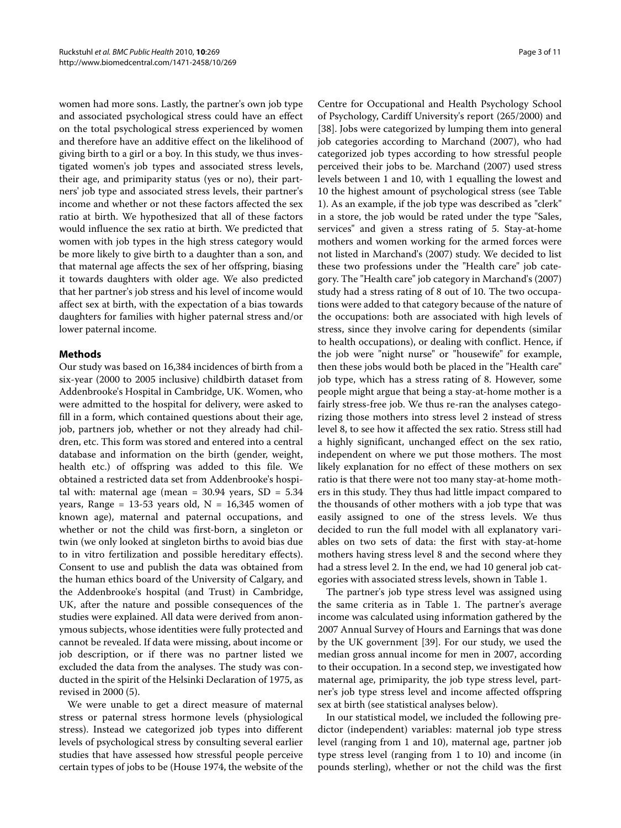women had more sons. Lastly, the partner's own job type and associated psychological stress could have an effect on the total psychological stress experienced by women and therefore have an additive effect on the likelihood of giving birth to a girl or a boy. In this study, we thus investigated women's job types and associated stress levels, their age, and primiparity status (yes or no), their partners' job type and associated stress levels, their partner's income and whether or not these factors affected the sex ratio at birth. We hypothesized that all of these factors would influence the sex ratio at birth. We predicted that women with job types in the high stress category would be more likely to give birth to a daughter than a son, and that maternal age affects the sex of her offspring, biasing it towards daughters with older age. We also predicted that her partner's job stress and his level of income would affect sex at birth, with the expectation of a bias towards daughters for families with higher paternal stress and/or lower paternal income.

## **Methods**

Our study was based on 16,384 incidences of birth from a six-year (2000 to 2005 inclusive) childbirth dataset from Addenbrooke's Hospital in Cambridge, UK. Women, who were admitted to the hospital for delivery, were asked to fill in a form, which contained questions about their age, job, partners job, whether or not they already had children, etc. This form was stored and entered into a central database and information on the birth (gender, weight, health etc.) of offspring was added to this file. We obtained a restricted data set from Addenbrooke's hospital with: maternal age (mean =  $30.94$  years, SD =  $5.34$ years, Range =  $13-53$  years old, N =  $16,345$  women of known age), maternal and paternal occupations, and whether or not the child was first-born, a singleton or twin (we only looked at singleton births to avoid bias due to in vitro fertilization and possible hereditary effects). Consent to use and publish the data was obtained from the human ethics board of the University of Calgary, and the Addenbrooke's hospital (and Trust) in Cambridge, UK, after the nature and possible consequences of the studies were explained. All data were derived from anonymous subjects, whose identities were fully protected and cannot be revealed. If data were missing, about income or job description, or if there was no partner listed we excluded the data from the analyses. The study was conducted in the spirit of the Helsinki Declaration of 1975, as revised in 2000 (5).

We were unable to get a direct measure of maternal stress or paternal stress hormone levels (physiological stress). Instead we categorized job types into different levels of psychological stress by consulting several earlier studies that have assessed how stressful people perceive certain types of jobs to be (House 1974, the website of the

Centre for Occupational and Health Psychology School of Psychology, Cardiff University's report (265/2000) and [[38\]](#page-10-27). Jobs were categorized by lumping them into general job categories according to Marchand (2007), who had categorized job types according to how stressful people perceived their jobs to be. Marchand (2007) used stress levels between 1 and 10, with 1 equalling the lowest and 10 the highest amount of psychological stress (see Table 1). As an example, if the job type was described as "clerk" in a store, the job would be rated under the type "Sales, services" and given a stress rating of 5. Stay-at-home mothers and women working for the armed forces were not listed in Marchand's (2007) study. We decided to list these two professions under the "Health care" job category. The "Health care" job category in Marchand's (2007) study had a stress rating of 8 out of 10. The two occupations were added to that category because of the nature of the occupations: both are associated with high levels of stress, since they involve caring for dependents (similar to health occupations), or dealing with conflict. Hence, if the job were "night nurse" or "housewife" for example, then these jobs would both be placed in the "Health care" job type, which has a stress rating of 8. However, some people might argue that being a stay-at-home mother is a fairly stress-free job. We thus re-ran the analyses categorizing those mothers into stress level 2 instead of stress level 8, to see how it affected the sex ratio. Stress still had a highly significant, unchanged effect on the sex ratio, independent on where we put those mothers. The most likely explanation for no effect of these mothers on sex ratio is that there were not too many stay-at-home mothers in this study. They thus had little impact compared to the thousands of other mothers with a job type that was easily assigned to one of the stress levels. We thus decided to run the full model with all explanatory variables on two sets of data: the first with stay-at-home mothers having stress level 8 and the second where they had a stress level 2. In the end, we had 10 general job categories with associated stress levels, shown in Table 1.

The partner's job type stress level was assigned using the same criteria as in Table 1. The partner's average income was calculated using information gathered by the 2007 Annual Survey of Hours and Earnings that was done by the UK government [[39](#page-10-28)]. For our study, we used the median gross annual income for men in 2007, according to their occupation. In a second step, we investigated how maternal age, primiparity, the job type stress level, partner's job type stress level and income affected offspring sex at birth (see statistical analyses below).

In our statistical model, we included the following predictor (independent) variables: maternal job type stress level (ranging from 1 and 10), maternal age, partner job type stress level (ranging from 1 to 10) and income (in pounds sterling), whether or not the child was the first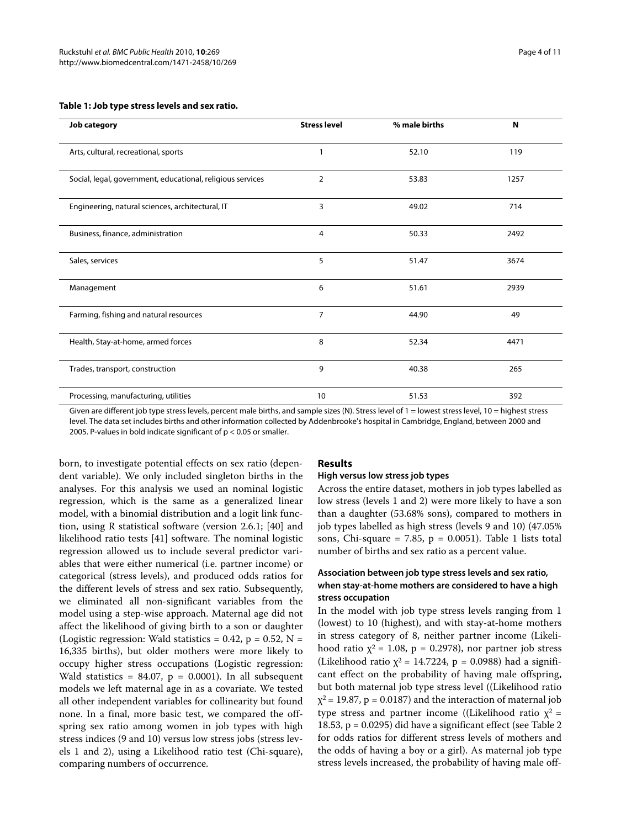<span id="page-3-0"></span>

|  |  |  | Table 1: Job type stress levels and sex ratio. |  |  |  |  |
|--|--|--|------------------------------------------------|--|--|--|--|
|--|--|--|------------------------------------------------|--|--|--|--|

| Job category                                               | <b>Stress level</b> | % male births | N    |
|------------------------------------------------------------|---------------------|---------------|------|
| Arts, cultural, recreational, sports                       | 1                   | 52.10         | 119  |
| Social, legal, government, educational, religious services | $\overline{2}$      | 53.83         | 1257 |
| Engineering, natural sciences, architectural, IT           | 3                   | 49.02         | 714  |
| Business, finance, administration                          | 4                   | 50.33         | 2492 |
| Sales, services                                            | 5                   | 51.47         | 3674 |
| Management                                                 | 6                   | 51.61         | 2939 |
| Farming, fishing and natural resources                     | $\overline{7}$      | 44.90         | 49   |
| Health, Stay-at-home, armed forces                         | 8                   | 52.34         | 4471 |
| Trades, transport, construction                            | 9                   | 40.38         | 265  |
| Processing, manufacturing, utilities                       | 10                  | 51.53         | 392  |

Given are different job type stress levels, percent male births, and sample sizes (N). Stress level of 1 = lowest stress level, 10 = highest stress level. The data set includes births and other information collected by Addenbrooke's hospital in Cambridge, England, between 2000 and 2005. P-values in bold indicate significant of p < 0.05 or smaller.

born, to investigate potential effects on sex ratio (dependent variable). We only included singleton births in the analyses. For this analysis we used an nominal logistic regression, which is the same as a generalized linear model, with a binomial distribution and a logit link function, using R statistical software (version 2.6.1; [[40\]](#page-10-29) and likelihood ratio tests [\[41\]](#page-10-30) software. The nominal logistic regression allowed us to include several predictor variables that were either numerical (i.e. partner income) or categorical (stress levels), and produced odds ratios for the different levels of stress and sex ratio. Subsequently, we eliminated all non-significant variables from the model using a step-wise approach. Maternal age did not affect the likelihood of giving birth to a son or daughter (Logistic regression: Wald statistics =  $0.42$ , p =  $0.52$ , N = 16,335 births), but older mothers were more likely to occupy higher stress occupations (Logistic regression: Wald statistics =  $84.07$ , p = 0.0001). In all subsequent models we left maternal age in as a covariate. We tested all other independent variables for collinearity but found none. In a final, more basic test, we compared the offspring sex ratio among women in job types with high stress indices (9 and 10) versus low stress jobs (stress levels 1 and 2), using a Likelihood ratio test (Chi-square), comparing numbers of occurrence.

#### **Results**

#### **High versus low stress job types**

Across the entire dataset, mothers in job types labelled as low stress (levels 1 and 2) were more likely to have a son than a daughter (53.68% sons), compared to mothers in job types labelled as high stress (levels 9 and 10) (47.05% sons, Chi-square = 7.85,  $p = 0.0051$  $p = 0.0051$ ). Table 1 lists total number of births and sex ratio as a percent value.

## **Association between job type stress levels and sex ratio, when stay-at-home mothers are considered to have a high stress occupation**

In the model with job type stress levels ranging from 1 (lowest) to 10 (highest), and with stay-at-home mothers in stress category of 8, neither partner income (Likelihood ratio  $\chi^2$  = 1.08, p = 0.2978), nor partner job stress (Likelihood ratio  $\chi^2$  = 14.7224, p = 0.0988) had a significant effect on the probability of having male offspring, but both maternal job type stress level ((Likelihood ratio  $x^2 = 19.87$ ,  $p = 0.0187$ ) and the interaction of maternal job type stress and partner income ((Likelihood ratio  $x^2 =$ 18.53, p = 0.0295) did have a significant effect (see Table 2 for odds ratios for different stress levels of mothers and the odds of having a boy or a girl). As maternal job type stress levels increased, the probability of having male off-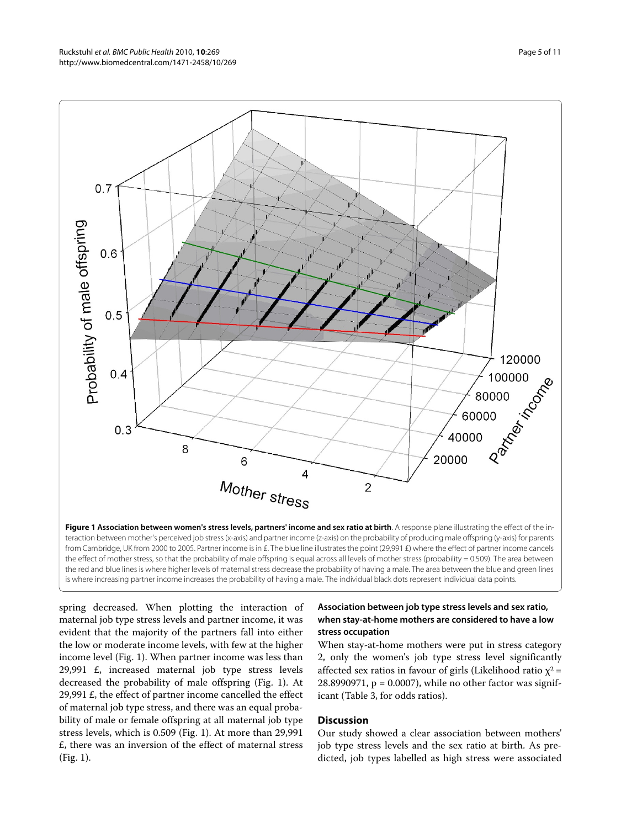<span id="page-4-0"></span>

teraction between mother's perceived job stress (x-axis) and partner income (z-axis) on the probability of producing male offspring (y-axis) for parents from Cambridge, UK from 2000 to 2005. Partner income is in £. The blue line illustrates the point (29,991 £) where the effect of partner income cancels the effect of mother stress, so that the probability of male offspring is equal across all levels of mother stress (probability = 0.509). The area between the red and blue lines is where higher levels of maternal stress decrease the probability of having a male. The area between the blue and green lines is where increasing partner income increases the probability of having a male. The individual black dots represent individual data points.

spring decreased. When plotting the interaction of maternal job type stress levels and partner income, it was evident that the majority of the partners fall into either the low or moderate income levels, with few at the higher income level (Fig. [1\)](#page-4-0). When partner income was less than 29,991 £, increased maternal job type stress levels decreased the probability of male offspring (Fig. [1](#page-4-0)). At 29,991 £, the effect of partner income cancelled the effect of maternal job type stress, and there was an equal probability of male or female offspring at all maternal job type stress levels, which is 0.509 (Fig. [1](#page-4-0)). At more than 29,991 £, there was an inversion of the effect of maternal stress (Fig. [1\)](#page-4-0).

### **Association between job type stress levels and sex ratio, when stay-at-home mothers are considered to have a low stress occupation**

When stay-at-home mothers were put in stress category 2, only the women's job type stress level significantly affected sex ratios in favour of girls (Likelihood ratio  $\chi^2$  = 28.8990971, p = 0.0007), while no other factor was significant (Table 3, for odds ratios).

#### **Discussion**

Our study showed a clear association between mothers' job type stress levels and the sex ratio at birth. As predicted, job types labelled as high stress were associated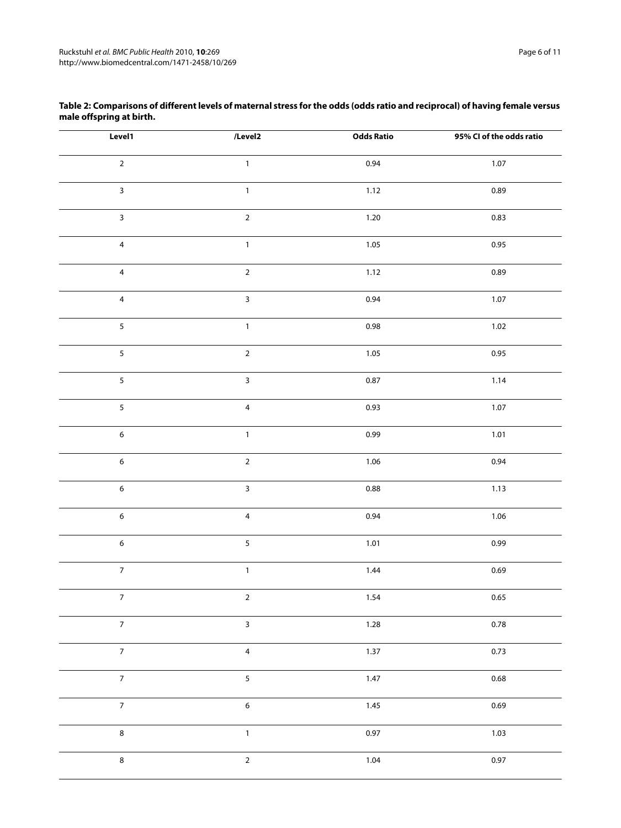| Level1                  | /Level2                 | <b>Odds Ratio</b> | 95% CI of the odds ratio |
|-------------------------|-------------------------|-------------------|--------------------------|
| $\overline{2}$          | $\mathbf{1}$            | 0.94              | 1.07                     |
| $\mathbf{3}$            | $\mathbf{1}$            | 1.12              | 0.89                     |
| $\overline{\mathbf{3}}$ | $\overline{2}$          | 1.20              | 0.83                     |
| $\overline{4}$          | $\mathbf{1}$            | $1.05$            | 0.95                     |
| $\overline{4}$          | $\mathbf 2$             | 1.12              | 0.89                     |
| $\overline{4}$          | $\overline{\mathbf{3}}$ | 0.94              | 1.07                     |
| 5                       | $\mathbf 1$             | 0.98              | 1.02                     |
| 5                       | $\overline{2}$          | $1.05$            | 0.95                     |
| 5                       | $\overline{\mathbf{3}}$ | 0.87              | 1.14                     |
| $\overline{5}$          | $\overline{4}$          | 0.93              | 1.07                     |
| $\boldsymbol{6}$        | $\mathbf 1$             | 0.99              | $1.01$                   |
| $\boldsymbol{6}$        | $\overline{2}$          | 1.06              | 0.94                     |
| $\boldsymbol{6}$        | $\mathbf{3}$            | 0.88              | 1.13                     |
| $\boldsymbol{6}$        | $\overline{4}$          | 0.94              | 1.06                     |
| $\boldsymbol{6}$        | 5                       | 1.01              | 0.99                     |
| $\overline{7}$          | $\mathbf 1$             | 1.44              | 0.69                     |
| $\boldsymbol{7}$        | $\overline{2}$          | 1.54              | $0.65\,$                 |
| $\overline{7}$          | $\overline{\mathbf{3}}$ | 1.28              | 0.78                     |
| $\overline{7}$          | $\overline{4}$          | 1.37              | 0.73                     |
| $\overline{7}$          | $\overline{\mathbf{5}}$ | $1.47\,$          | 0.68                     |
| $\overline{7}$          | $\boldsymbol{6}$        | 1.45              | 0.69                     |
| $\bf 8$                 | $\mathbf{1}$            | 0.97              | $1.03\,$                 |
| $\bf 8$                 | $\mathbf 2$             | $1.04$            | 0.97                     |

## **Table 2: Comparisons of different levels of maternal stress for the odds (odds ratio and reciprocal) of having female versus male offspring at birth.**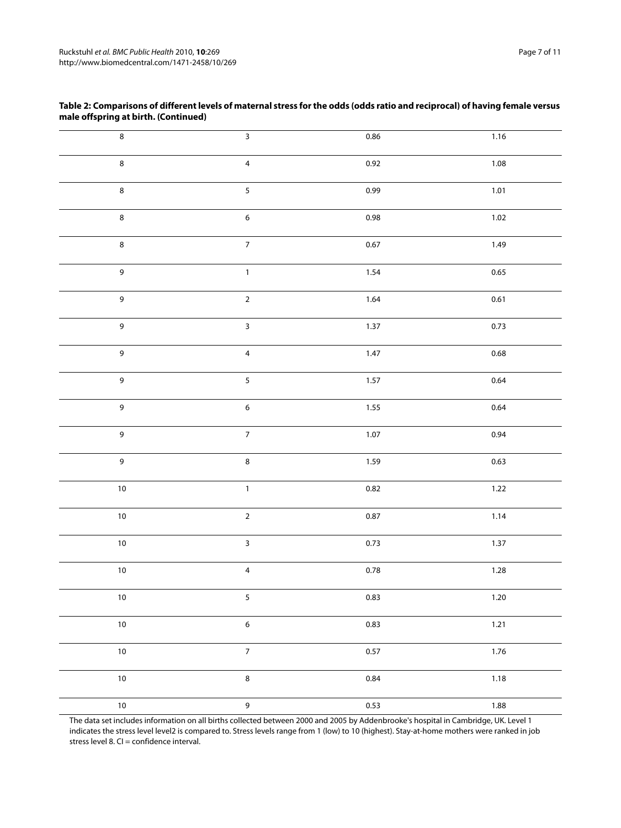| $\bf 8$     | $\overline{\mathbf{3}}$ | 0.86     | 1.16     |
|-------------|-------------------------|----------|----------|
| $\bf 8$     | $\overline{4}$          | 0.92     | $1.08\,$ |
| $\bf 8$     | $\overline{5}$          | 0.99     | 1.01     |
| $\bf 8$     | $\bf 6$                 | 0.98     | 1.02     |
| $\bf 8$     | $\bar{z}$               | $0.67\,$ | 1.49     |
| $\mathsf g$ | $\mathbf{1}$            | 1.54     | $0.65\,$ |
| $\mathsf g$ | $\overline{2}$          | 1.64     | $0.61\,$ |
| $\mathsf 9$ | $\mathbf{3}$            | 1.37     | 0.73     |
| $\mathsf g$ | $\overline{4}$          | 1.47     | 0.68     |
| $\mathsf g$ | $\overline{5}$          | $1.57$   | 0.64     |
| $\mathsf 9$ | $\mathbf 6$             | $1.55\,$ | $0.64\,$ |
| $\mathsf g$ | $\overline{7}$          | $1.07$   | 0.94     |
| $\mathsf 9$ | $\bf 8$                 | 1.59     | 0.63     |
| $10\,$      | $\mathbf{1}$            | 0.82     | 1.22     |
| $10\,$      | $\overline{2}$          | 0.87     | 1.14     |
| $10\,$      | $\mathbf{3}$            | 0.73     | 1.37     |
| $10\,$      | $\overline{4}$          | 0.78     | 1.28     |
| 10          | 5 <sup>1</sup>          | 0.83     | 1.20     |
| $10\,$      | $\bf 6$                 | 0.83     | 1.21     |
| $10\,$      | $\boldsymbol{7}$        | $0.57\,$ | 1.76     |
| $10\,$      | $\bf 8$                 | 0.84     | 1.18     |
| $10\,$      | $\overline{9}$          | $0.53\,$ | $1.88\,$ |

## **Table 2: Comparisons of different levels of maternal stress for the odds (odds ratio and reciprocal) of having female versus male offspring at birth. (Continued)**

The data set includes information on all births collected between 2000 and 2005 by Addenbrooke's hospital in Cambridge, UK. Level 1 indicates the stress level level2 is compared to. Stress levels range from 1 (low) to 10 (highest). Stay-at-home mothers were ranked in job stress level 8. CI = confidence interval.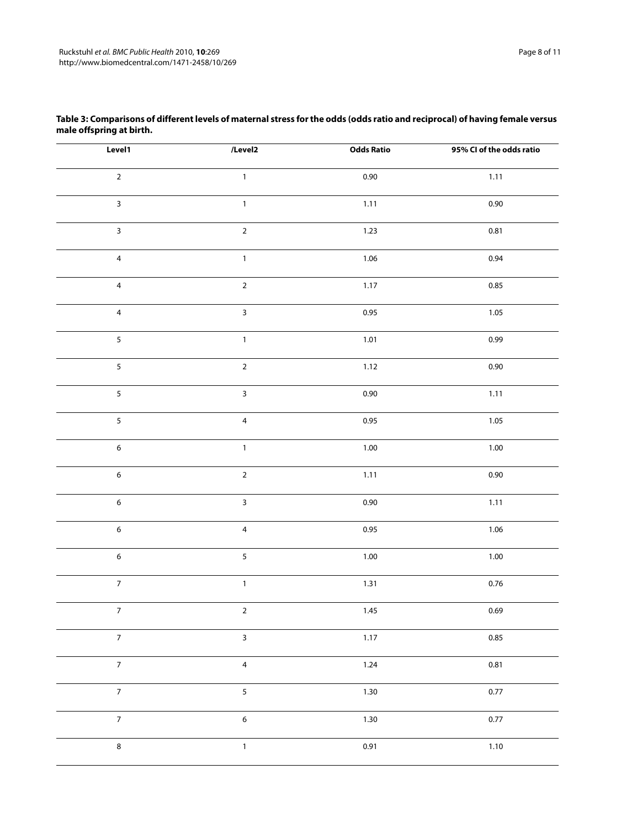| Level1                  | /Level2        | <b>Odds Ratio</b> | 95% CI of the odds ratio |
|-------------------------|----------------|-------------------|--------------------------|
| $\overline{2}$          | $\mathbf{1}$   | 0.90              | 1.11                     |
| $\overline{\mathbf{3}}$ | $\mathbf{1}$   | 1.11              | 0.90                     |
| $\overline{\mathbf{3}}$ | $\overline{2}$ | 1.23              | 0.81                     |
| $\overline{4}$          | $\mathbf{1}$   | 1.06              | 0.94                     |
| $\overline{4}$          | $\overline{2}$ | 1.17              | 0.85                     |
| $\overline{4}$          | $\mathbf{3}$   | 0.95              | 1.05                     |
| 5                       | $\mathbf{1}$   | 1.01              | 0.99                     |
| $\overline{5}$          | $\overline{2}$ | 1.12              | 0.90                     |
| $\overline{5}$          | $\mathbf{3}$   | 0.90              | 1.11                     |
| 5                       | $\overline{4}$ | 0.95              | 1.05                     |
| $\boldsymbol{6}$        | $\mathbf{1}$   | 1.00              | $1.00\,$                 |
| $\boldsymbol{6}$        | $\overline{2}$ | 1.11              | 0.90                     |
| $\boldsymbol{6}$        | $\mathbf{3}$   | 0.90              | 1.11                     |
| $\boldsymbol{6}$        | $\overline{4}$ | 0.95              | 1.06                     |
| $\boldsymbol{6}$        | 5              | 1.00              | $1.00\,$                 |
| $\overline{7}$          | $\mathbf{1}$   | 1.31              | 0.76                     |
| $\overline{7}$          | $\overline{2}$ | $1.45$            | 0.69                     |
| $\boldsymbol{7}$        | $\mathbf{3}$   | 1.17              | 0.85                     |
| $\overline{7}$          | $\overline{4}$ | $1.24$            | 0.81                     |
| $\overline{7}$          | $\overline{5}$ | 1.30              | 0.77                     |
| $\boldsymbol{7}$        | $\mathbf 6$    | $1.30\,$          | 0.77                     |
| $\bf 8$                 | $\mathbf 1$    | 0.91              | 1.10                     |

## **Table 3: Comparisons of different levels of maternal stress for the odds (odds ratio and reciprocal) of having female versus male offspring at birth.**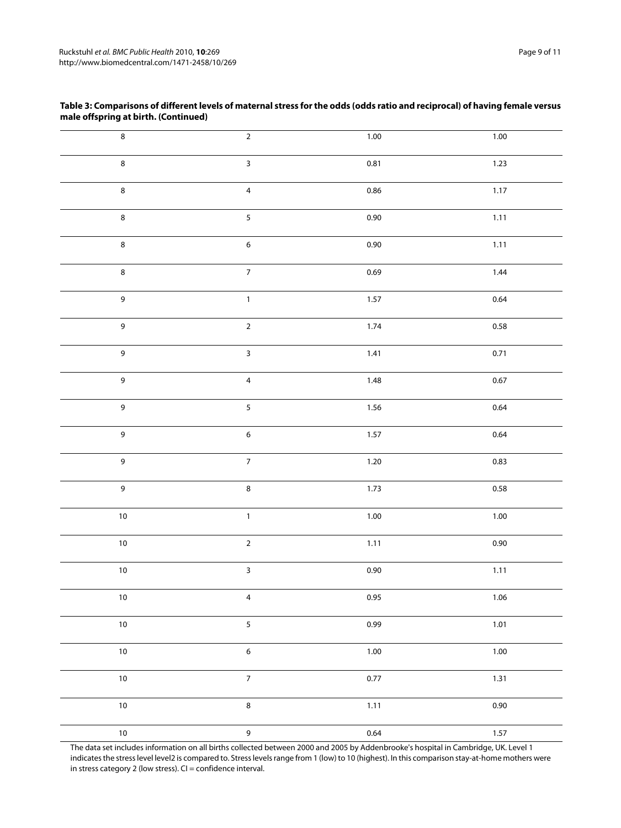| $\bf 8$      | $\overline{2}$          | $1.00\,$ | $\overline{1.00}$ |
|--------------|-------------------------|----------|-------------------|
| $\bf 8$      | $\mathbf{3}$            | 0.81     | 1.23              |
| $\bf 8$      | $\overline{4}$          | 0.86     | 1.17              |
| $\bf 8$      | $\overline{\mathbf{5}}$ | 0.90     | 1.11              |
| $\bf 8$      | $\boldsymbol{6}$        | 0.90     | 1.11              |
| $\bf 8$      | $\overline{7}$          | 0.69     | 1.44              |
| 9            | $\mathbf{1}$            | 1.57     | $0.64\,$          |
| $\mathsf 9$  | $\overline{2}$          | 1.74     | $0.58\,$          |
| $\mathsf g$  | $\overline{\mathbf{3}}$ | 1.41     | 0.71              |
| $\mathsf g$  | $\overline{4}$          | 1.48     | $0.67\,$          |
| $\mathsf{9}$ | $\overline{\mathbf{5}}$ | $1.56\,$ | 0.64              |
| 9            | $\boldsymbol{6}$        | 1.57     | $0.64\,$          |
| $\mathsf g$  | $\overline{7}$          | $1.20$   | 0.83              |
| 9            | $\bf 8$                 | 1.73     | $0.58\,$          |
| $10\,$       | $\mathbf{1}$            | $1.00\,$ | $1.00\,$          |
| $10\,$       | $\overline{2}$          | 1.11     | 0.90              |
| $10\,$       | $\mathbf{3}$            | 0.90     | 1.11              |
| $10\,$       | $\overline{4}$          | 0.95     | 1.06              |
| $10\,$       | $\overline{\mathbf{5}}$ | 0.99     | 1.01              |
| $10\,$       | $\boldsymbol{6}$        | $1.00\,$ | $1.00\,$          |
| $10\,$       | $\overline{7}$          | 0.77     | 1.31              |
| $10\,$       | $\bf 8$                 | $1.11$   | 0.90              |
| $10\,$       | $\mathsf{9}$            | 0.64     | 1.57              |

## **Table 3: Comparisons of different levels of maternal stress for the odds (odds ratio and reciprocal) of having female versus male offspring at birth. (Continued)**

The data set includes information on all births collected between 2000 and 2005 by Addenbrooke's hospital in Cambridge, UK. Level 1 indicates the stress level level2 is compared to. Stress levels range from 1 (low) to 10 (highest). In this comparison stay-at-home mothers were in stress category 2 (low stress).  $Cl =$  confidence interval.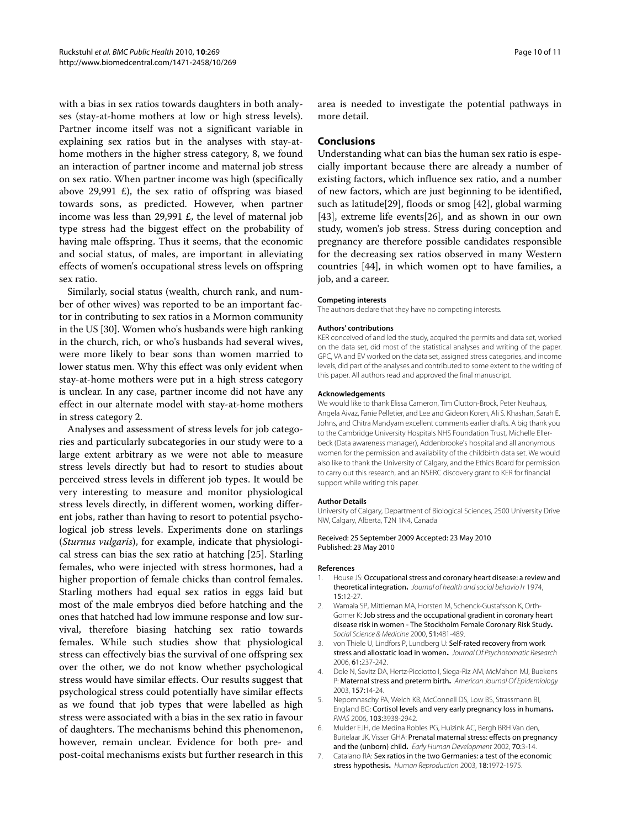with a bias in sex ratios towards daughters in both analyses (stay-at-home mothers at low or high stress levels). Partner income itself was not a significant variable in explaining sex ratios but in the analyses with stay-athome mothers in the higher stress category, 8, we found an interaction of partner income and maternal job stress on sex ratio. When partner income was high (specifically above 29,991  $E$ ), the sex ratio of offspring was biased towards sons, as predicted. However, when partner income was less than 29,991 £, the level of maternal job type stress had the biggest effect on the probability of having male offspring. Thus it seems, that the economic and social status, of males, are important in alleviating effects of women's occupational stress levels on offspring sex ratio.

Similarly, social status (wealth, church rank, and number of other wives) was reported to be an important factor in contributing to sex ratios in a Mormon community in the US [[30](#page-10-19)]. Women who's husbands were high ranking in the church, rich, or who's husbands had several wives, were more likely to bear sons than women married to lower status men. Why this effect was only evident when stay-at-home mothers were put in a high stress category is unclear. In any case, partner income did not have any effect in our alternate model with stay-at-home mothers in stress category 2.

Analyses and assessment of stress levels for job categories and particularly subcategories in our study were to a large extent arbitrary as we were not able to measure stress levels directly but had to resort to studies about perceived stress levels in different job types. It would be very interesting to measure and monitor physiological stress levels directly, in different women, working different jobs, rather than having to resort to potential psychological job stress levels. Experiments done on starlings (*Sturnus vulgaris*), for example, indicate that physiological stress can bias the sex ratio at hatching [\[25](#page-10-17)]. Starling females, who were injected with stress hormones, had a higher proportion of female chicks than control females. Starling mothers had equal sex ratios in eggs laid but most of the male embryos died before hatching and the ones that hatched had low immune response and low survival, therefore biasing hatching sex ratio towards females. While such studies show that physiological stress can effectively bias the survival of one offspring sex over the other, we do not know whether psychological stress would have similar effects. Our results suggest that psychological stress could potentially have similar effects as we found that job types that were labelled as high stress were associated with a bias in the sex ratio in favour of daughters. The mechanisms behind this phenomenon, however, remain unclear. Evidence for both pre- and post-coital mechanisms exists but further research in this

area is needed to investigate the potential pathways in more detail.

#### **Conclusions**

Understanding what can bias the human sex ratio is especially important because there are already a number of existing factors, which influence sex ratio, and a number of new factors, which are just beginning to be identified, such as latitude[[29](#page-10-31)], floods or smog [[42\]](#page-10-32), global warming [[43\]](#page-10-33), extreme life events[[26\]](#page-10-18), and as shown in our own study, women's job stress. Stress during conception and pregnancy are therefore possible candidates responsible for the decreasing sex ratios observed in many Western countries [[44\]](#page-10-34), in which women opt to have families, a job, and a career.

#### **Competing interests**

The authors declare that they have no competing interests.

#### **Authors' contributions**

KER conceived of and led the study, acquired the permits and data set, worked on the data set, did most of the statistical analyses and writing of the paper. GPC, VA and EV worked on the data set, assigned stress categories, and income levels, did part of the analyses and contributed to some extent to the writing of this paper. All authors read and approved the final manuscript.

#### **Acknowledgements**

We would like to thank Elissa Cameron, Tim Clutton-Brock, Peter Neuhaus, Angela Aivaz, Fanie Pelletier, and Lee and Gideon Koren, Ali S. Khashan, Sarah E. Johns, and Chitra Mandyam excellent comments earlier drafts. A big thank you to the Cambridge University Hospitals NHS Foundation Trust, Michelle Ellerbeck (Data awareness manager), Addenbrooke's hospital and all anonymous women for the permission and availability of the childbirth data set. We would also like to thank the University of Calgary, and the Ethics Board for permission to carry out this research, and an NSERC discovery grant to KER for financial support while writing this paper.

#### **Author Details**

University of Calgary, Department of Biological Sciences, 2500 University Drive NW, Calgary, Alberta, T2N 1N4, Canada

#### Received: 25 September 2009 Accepted: 23 May 2010 Published: 23 May 2010

#### **References**

- <span id="page-9-0"></span>1. House JS: Occupational stress and coronary heart disease: a review and theoretical integration**.** Journal of health and social behavio1r 1974, 15:12-27.
- <span id="page-9-1"></span>2. Wamala SP, Mittleman MA, Horsten M, Schenck-Gustafsson K, Orth-Gomer K: Job stress and the occupational gradient in coronary heart disease risk in women - The Stockholm Female Coronary Risk Study**.** Social Science & Medicine 2000, 51:481-489.
- <span id="page-9-2"></span>3. von Thiele U, Lindfors P, Lundberg U: Self-rated recovery from work stress and allostatic load in women**[.](http://www.ncbi.nlm.nih.gov/entrez/query.fcgi?cmd=Retrieve&db=PubMed&dopt=Abstract&list_uids=16880027)** Journal Of Psychosomatic Research 2006, 61:237-242.
- <span id="page-9-3"></span>4. Dole N, Savitz DA, Hertz-Picciotto I, Siega-Riz AM, McMahon MJ, Buekens P: Maternal stress and preterm birth**.** American Journal Of Epidemiology 2003, 157:14-24.
- <span id="page-9-4"></span>5. Nepomnaschy PA, Welch KB, McConnell DS, Low BS, Strassmann BI, England BG: Cortisol levels and very early pregnancy loss in humans**.** PNAS 2006, 103:3938-2942.
- <span id="page-9-5"></span>6. Mulder EJH, de Medina Robles PG, Huizink AC, Bergh BRH Van den, Buitelaar JK, Visser GHA: Prenatal maternal stress: effects on pregnancy and the (unborn) child**.** Early Human Development 2002, 70:3-14.
- <span id="page-9-6"></span>7. Catalano RA: Sex ratios in the two Germanies: a test of the economic stress hypothesis**.** Human Reproduction 2003, 18:1972-1975.